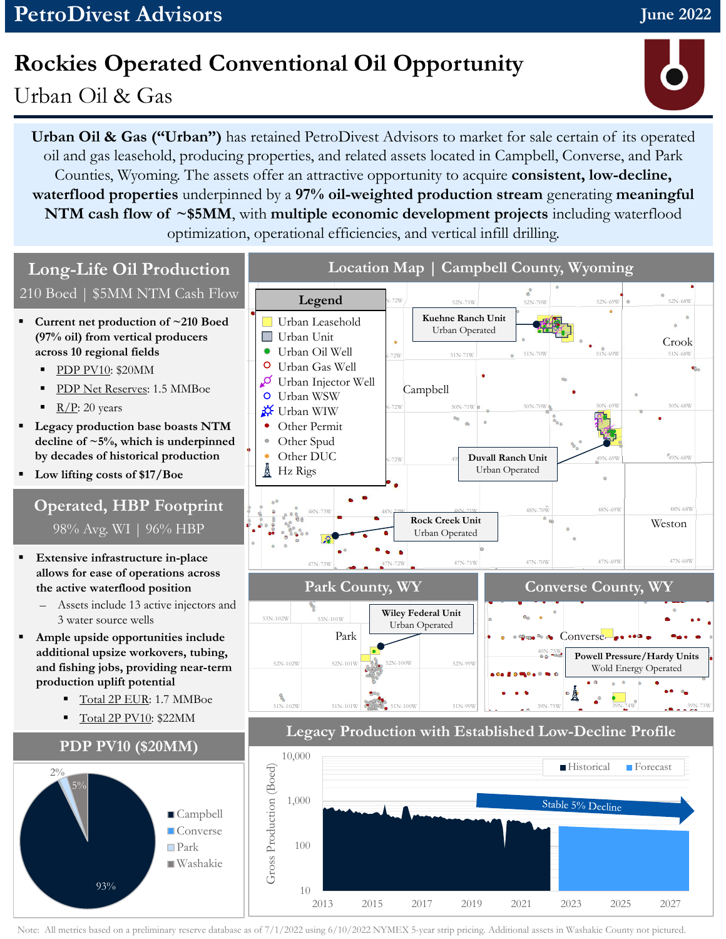## **Rockies Operated Conventional Oil Opportunity**

Urban Oil & Gas

**Urban Oil & Gas ("Urban")** has retained PetroDivest Advisors to market for sale certain of its operated oil and gas leasehold, producing properties, and related assets located in Campbell, Converse, and Park Counties, Wyoming. The assets offer an attractive opportunity to acquire **consistent, low-decline, waterflood properties** underpinned by a **97% oil-weighted production stream** generating **meaningful NTM cash flow of ~\$5MM**, with **multiple economic development projects** including waterflood optimization, operational efficiencies, and vertical infill drilling.



Note: All metrics based on a preliminary reserve database as of 7/1/2022 using 6/10/2022 NYMEX 5-year strip pricing. Additional assets in Washakie County not pictured.

**June 2022**